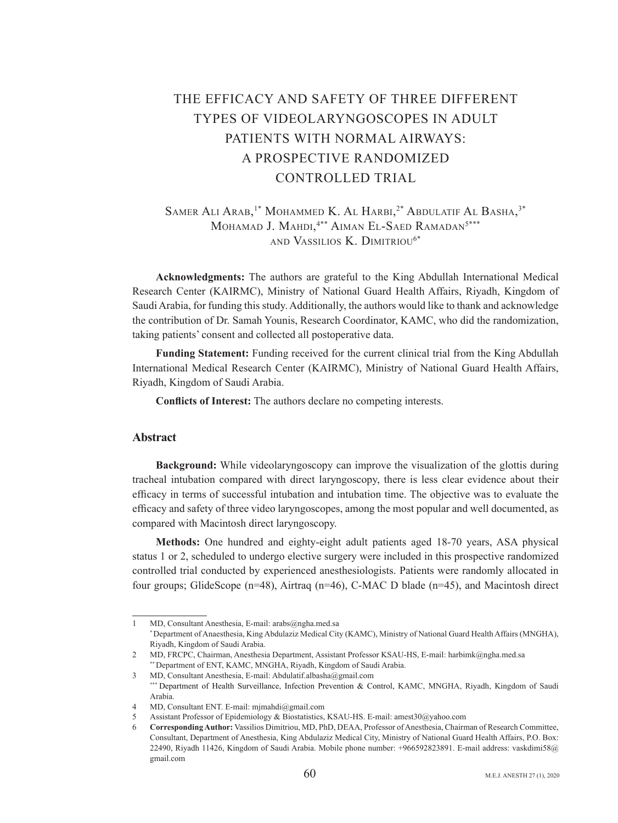# THE EFFICACY AND SAFETY OF THREE DIFFERENT TYPES OF VIDEOLARYNGOSCOPES IN ADULT PATIENTS WITH NORMAL AIRWAYS: A PROSPECTIVE RANDOMIZED CONTROLLED TRIAL

## Samer Ali Arab,<sup>1\*</sup> Mohammed K. Al Harbi,<sup>2\*</sup> Abdulatif Al Basha,<sup>3\*</sup> Mohamad J. Mahdi,<sup>4\*\*</sup> Aiman El-Saed Ramadan<sup>5\*\*\*</sup> AND VASSILIOS K DIMITRIOU<sup>6\*</sup>

Acknowledgments: The authors are grateful to the King Abdullah International Medical Research Center (KAIRMC), Ministry of National Guard Health Affairs, Riyadh, Kingdom of Saudi Arabia, for funding this study. Additionally, the authors would like to thank and acknowledge the contribution of Dr. Samah Younis, Research Coordinator, KAMC, who did the randomization, taking patients' consent and collected all postoperative data.

**Funding Statement:** Funding received for the current clinical trial from the King Abdullah International Medical Research Center (KAIRMC), Ministry of National Guard Health Affairs, Riyadh, Kingdom of Saudi Arabia.

**Conflicts of Interest:** The authors declare no competing interests.

## **Abstract**

**Background:** While videolaryngoscopy can improve the visualization of the glottis during tracheal intubation compared with direct laryngoscopy, there is less clear evidence about their efficacy in terms of successful intubation and intubation time. The objective was to evaluate the efficacy and safety of three video laryngoscopes, among the most popular and well documented, as compared with Macintosh direct laryngoscopy.

Methods: One hundred and eighty-eight adult patients aged 18-70 years, ASA physical status 1 or 2, scheduled to undergo elective surgery were included in this prospective randomized controlled trial conducted by experienced anesthesiologists. Patients were randomly allocated in four groups; GlideScope  $(n=48)$ , Airtraq  $(n=46)$ , C-MAC D blade  $(n=45)$ , and Macintosh direct

MD, Consultant Anesthesia, E-mail: arabs@ngha med.sa<br>\* Department of Anaesthesia, King Abdulaziz Medical City (KAMC), Ministry of National Guard Health Affairs (MNGHA), Riyadh, Kingdom of Saudi Arabia.

<sup>2</sup> MD, FRCPC, Chairman, Anesthesia Department, Assistant Professor KSAU-HS, E-mail: harbimk@ngha.med.sa<br>
<sup>\*\*</sup> Department of ENT, KAMC, MNGHA, Riyadh, Kingdom of Saudi Arabia.<br>
MD, Consultant Anesthesia, E-mail: Abdulatif.al

Saudi of Kingdom ,Rivadh ,Mangdom ,Rigadh ,MD, Control , Control ,N.N.C. ,N.NGHA ,Rivadh ,Kingdom of Saudi \*\*\* Department of Health Surveillance ,Infection Prevention & Control ,KAMC ,MNGHA ,Rivadh ,Kingdom of Saudi .Arabia

<sup>4</sup> MD, Consultant ENT. E-mail: mjmahdi@gmail.com

Assistant Professor of Epidemiology & Biostatistics, KSAU-HS. E-mail: amest30@yahoo.com

Corresponding Author: Vassilios Dimitriou, MD, PhD, DEAA, Professor of Anesthesia, Chairman of Research Committee, Consultant, Department of Anesthesia, King Abdulaziz Medical City, Ministry of National Guard Health Affairs, P.O. Box: 22490, Riyadh 11426, Kingdom of Saudi Arabia. Mobile phone number: +966592823891. E-mail address: vaskdimi58@ gmail.com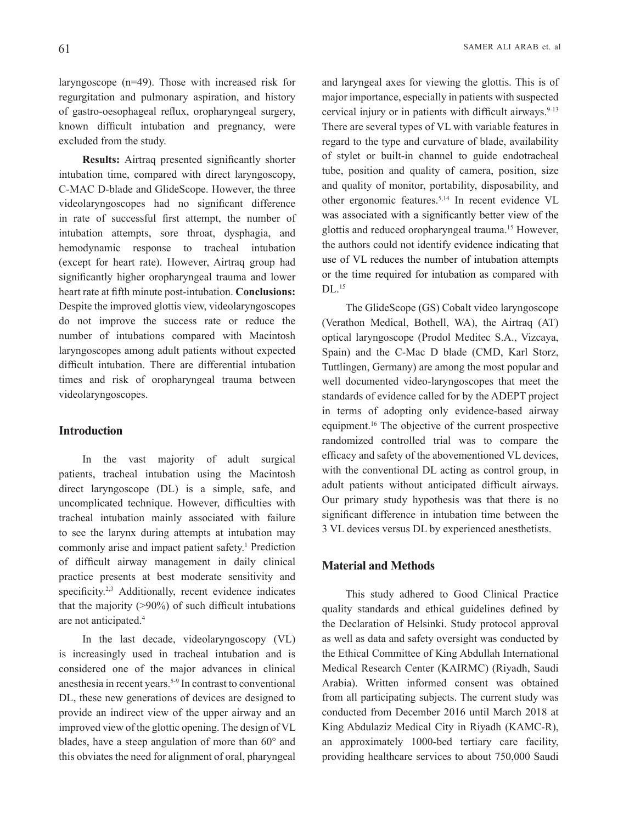laryngoscope  $(n=49)$ . Those with increased risk for regurgitation and pulmonary aspiration, and history of gastro-oesophageal reflux, oropharyngeal surgery, known difficult intubation and pregnancy, were excluded from the study.

**Results:** Airtrag presented significantly shorter intubation time, compared with direct laryngoscopy, C-MAC D-blade and GlideScope. However, the three videolaryngoscopes had no significant difference in rate of successful first attempt, the number of intubation attempts, sore throat, dysphagia, and hemodynamic response to tracheal intubation (except for heart rate). However, Airtraq group had significantly higher oropharyngeal trauma and lower heart rate at fifth minute post-intubation. Conclusions: Despite the improved glottis view, videolaryngoscopes do not improve the success rate or reduce the number of intubations compared with Macintosh laryngoscopes among adult patients without expected difficult intubation. There are differential intubation times and risk of oropharyngeal trauma between videolaryngoscopes.

#### **Introduction**

In the vast majority of adult surgical patients, tracheal intubation using the Macintosh  $direct$  laryngoscope (DL) is a simple, safe, and uncomplicated technique. However, difficulties with tracheal intubation mainly associated with failure to see the larynx during attempts at intubation may commonly arise and impact patient safety.<sup>1</sup> Prediction of difficult airway management in daily clinical practice presents at best moderate sensitivity and specificity.<sup>2,3</sup> Additionally, recent evidence indicates that the majority  $(>90\%)$  of such difficult intubations are not anticipated.<sup>4</sup>

In the last decade, videolaryngoscopy  $(VL)$ is increasingly used in tracheal intubation and is considered one of the major advances in clinical anesthesia in recent years.<sup>5-9</sup> In contrast to conventional DL, these new generations of devices are designed to provide an indirect view of the upper airway and an improved view of the glottic opening. The design of VL blades, have a steep angulation of more than  $60^{\circ}$  and this obviates the need for alignment of oral, pharyngeal and laryngeal axes for viewing the glottis. This is of major importance, especially in patients with suspected cervical injury or in patients with difficult airways. $9-13$ There are several types of VL with variable features in regard to the type and curvature of blade, availability of stylet or built-in channel to guide endotracheal tube, position and quality of camera, position, size and quality of monitor, portability, disposability, and other ergonomic features.<sup>5,14</sup> In recent evidence VL was associated with a significantly better view of the glottis and reduced oropharyngeal trauma.<sup>15</sup> However, the authors could not identify evidence indicating that use of VL reduces the number of intubation attempts or the time required for intubation as compared with  $DL<sup>15</sup>$ 

The GlideScope (GS) Cobalt video laryngoscope (Verathon Medical, Bothell, WA), the Airtraq (AT) optical laryngoscope (Prodol Meditec S.A., Vizcaya, Spain) and the C-Mac D blade (CMD, Karl Storz, Tuttlingen, Germany) are among the most popular and well documented video-laryngoscopes that meet the standards of evidence called for by the ADEPT project in terms of adopting only evidence-based airway equipment.<sup>16</sup> The objective of the current prospective randomized controlled trial was to compare the efficacy and safety of the abovementioned VL devices, with the conventional DL acting as control group, in adult patients without anticipated difficult airways. Our primary study hypothesis was that there is no significant difference in intubation time between the 3 VL devices versus DL by experienced anesthetists.

## **Material and Methods**

This study adhered to Good Clinical Practice quality standards and ethical guidelines defined by the Declaration of Helsinki. Study protocol approval as well as data and safety oversight was conducted by the Ethical Committee of King Abdullah International Medical Research Center (KAIRMC) (Riyadh, Saudi Arabia). Written informed consent was obtained from all participating subjects. The current study was conducted from December 2016 until March 2018 at King Abdulaziz Medical City in Riyadh (KAMC-R), an approximately 1000-bed tertiary care facility, providing healthcare services to about 750,000 Saudi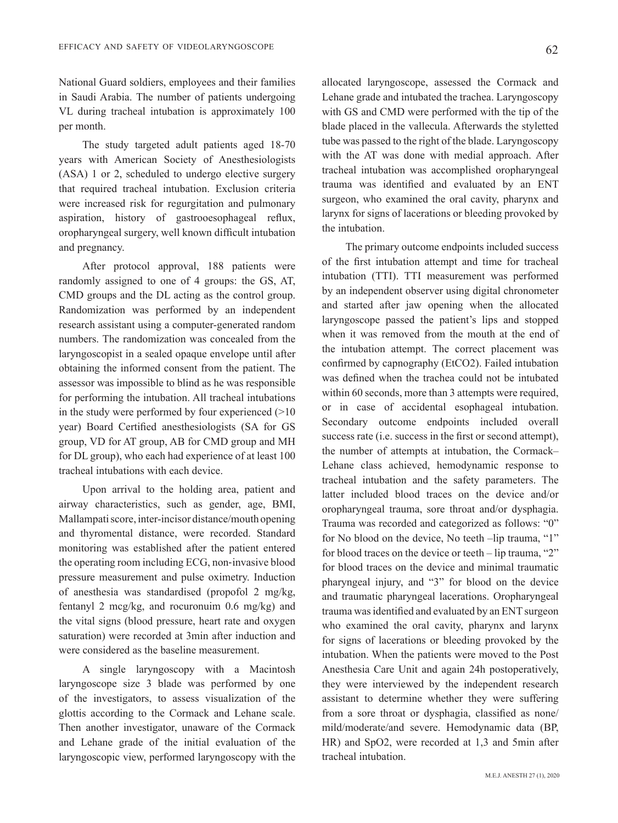National Guard soldiers, employees and their families in Saudi Arabia. The number of patients undergoing VL during tracheal intubation is approximately 100 ner month.

The study targeted adult patients aged 18-70 vears with American Society of Anesthesiologists  $(ASA)$  1 or 2, scheduled to undergo elective surgery that required tracheal intubation. Exclusion criteria were increased risk for regurgitation and pulmonary aspiration, history of gastrooesophageal reflux, oropharyngeal surgery, well known difficult intubation and pregnancy.

After protocol approval, 188 patients were randomly assigned to one of 4 groups: the GS, AT, CMD groups and the DL acting as the control group. Randomization was performed by an independent research assistant using a computer-generated random numbers. The randomization was concealed from the laryngoscopist in a sealed opaque envelope until after obtaining the informed consent from the patient. The assessor was impossible to blind as he was responsible for performing the intubation. All tracheal intubations in the study were performed by four experienced  $(>10$ year) Board Certified anesthesiologists (SA for GS group, VD for AT group, AB for CMD group and MH for DL group), who each had experience of at least  $100$ tracheal intubations with each device.

Upon arrival to the holding area, patient and airway characteristics, such as gender, age, BMI, Mallampati score, inter-incisor distance/mouth opening and thyromental distance, were recorded. Standard monitoring was established after the patient entered the operating room including ECG, non-invasive blood pressure measurement and pulse oximetry. Induction of anesthesia was standardised (propofol  $2 \text{ mg/kg}$ , fentanyl 2 mcg/kg, and rocuronuim  $0.6$  mg/kg) and the vital signs (blood pressure, heart rate and oxygen saturation) were recorded at 3 min after induction and were considered as the baseline measurement.

A single laryngoscopy with a Macintosh laryngoscope size 3 blade was performed by one of the investigators, to assess visualization of the glottis according to the Cormack and Lehane scale. Then another investigator, unaware of the Cormack and Lehane grade of the initial evaluation of the laryngoscopic view, performed laryngoscopy with the allocated laryngoscope, assessed the Cormack and Lehane grade and intubated the trachea. Laryngoscopy with GS and CMD were performed with the tip of the blade placed in the vallecula. Afterwards the styletted tube was passed to the right of the blade. Laryngoscopy with the AT was done with medial approach. After tracheal intubation was accomplished oropharyngeal trauma was identified and evaluated by an ENT surgeon, who examined the oral cavity, pharynx and larynx for signs of lacerations or bleeding provoked by the intubation.

The primary outcome endpoints included success of the first intubation attempt and time for tracheal intubation (TTI). TTI measurement was performed by an independent observer using digital chronometer and started after jaw opening when the allocated laryngoscope passed the patient's lips and stopped when it was removed from the mouth at the end of the intubation attempt. The correct placement was confirmed by capnography (EtCO2). Failed intubation was defined when the trachea could not be intubated within 60 seconds, more than  $\overline{3}$  attempts were required. or in case of accidental esophageal intubation. Secondary outcome endpoints included overall success rate (i.e. success in the first or second attempt), the number of attempts at intubation, the Cormack-Lehane class achieved, hemodynamic response to tracheal intubation and the safety parameters. The latter included blood traces on the device and/or oropharyngeal trauma, sore throat and/or dysphagia. Trauma was recorded and categorized as follows: "0" for No blood on the device. No teeth –lip trauma, "1" for blood traces on the device or teeth – lip trauma, "2" for blood traces on the device and minimal traumatic pharyngeal injury, and "3" for blood on the device and traumatic pharyngeal lacerations. Oropharyngeal trauma was identified and evaluated by an ENT surgeon who examined the oral cavity, pharynx and larynx for signs of lacerations or bleeding provoked by the intubation. When the patients were moved to the Post Anesthesia Care Unit and again 24h postoperatively, they were interviewed by the independent research assistant to determine whether they were suffering from a sore throat or dysphagia, classified as none/ mild/moderate/and severe. Hemodynamic data (BP,  $HR$ ) and SpO2, were recorded at 1,3 and 5min after tracheal intubation.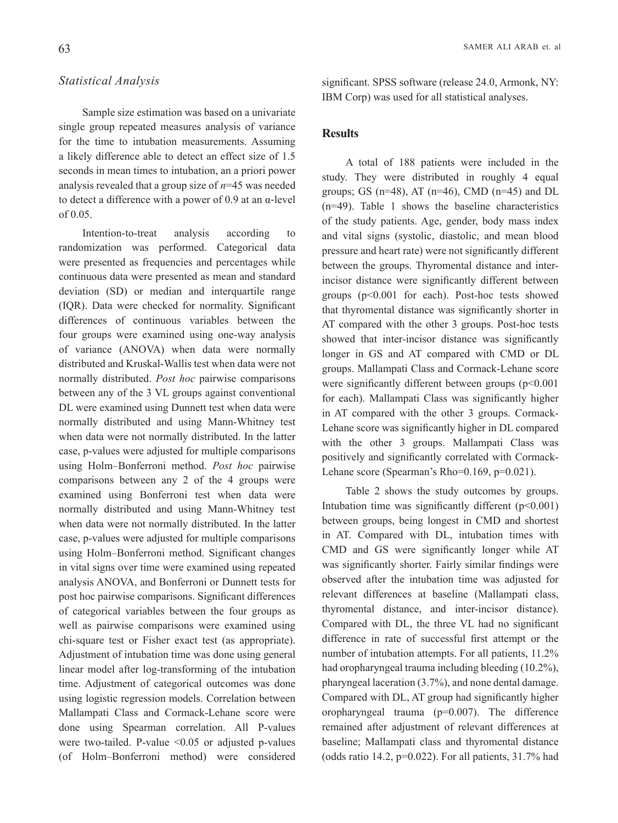## *Analysis Statistical*

Sample size estimation was based on a univariate single group repeated measures analysis of variance for the time to intubation measurements. Assuming a likely difference able to detect an effect size of 1.5 seconds in mean times to intubation, an a priori power analysis revealed that a group size of  $n=45$  was needed to detect a difference with a power of 0.9 at an α-level  $of 0.05.$ 

Intention-to-treat analysis according to randomization was performed. Categorical data were presented as frequencies and percentages while continuous data were presented as mean and standard deviation (SD) or median and interquartile range (IOR). Data were checked for normality. Significant differences of continuous variables between the four groups were examined using one-way analysis of variance (ANOVA) when data were normally distributed and Kruskal-Wallis test when data were not normally distributed. Post hoc pairwise comparisons between any of the 3 VL groups against conventional DL were examined using Dunnett test when data were normally distributed and using Mann-Whitney test when data were not normally distributed. In the latter case, p-values were adjusted for multiple comparisons using Holm-Bonferroni method. Post hoc pairwise comparisons between any  $2$  of the 4 groups were examined using Bonferroni test when data were normally distributed and using Mann-Whitney test when data were not normally distributed. In the latter case, p-values were adjusted for multiple comparisons using Holm-Bonferroni method. Significant changes in vital signs over time were examined using repeated analysis ANOVA, and Bonferroni or Dunnett tests for post hoc pairwise comparisons. Significant differences of categorical variables between the four groups as well as pairwise comparisons were examined using chi-square test or Fisher exact test (as appropriate). Adjustment of intubation time was done using general linear model after log-transforming of the intubation time. Adjustment of categorical outcomes was done using logistic regression models. Correlation between Mallampati Class and Cormack-Lehane score were done using Spearman correlation. All P-values were two-tailed. P-value  $\leq 0.05$  or adjusted p-values (of Holm-Bonferroni method) were considered

significant. SPSS software (release 24.0, Armonk, NY: IBM Corp) was used for all statistical analyses.

## **Results**

A total of 188 patients were included in the study. They were distributed in roughly 4 equal groups; GS ( $n=48$ ), AT ( $n=46$ ), CMD ( $n=45$ ) and DL  $(n=49)$ . Table 1 shows the baseline characteristics of the study patients. Age, gender, body mass index and vital signs (systolic, diastolic, and mean blood pressure and heart rate) were not significantly different incisor distance were significantly different between between the groups. Thyromental distance and intergroups  $(p<0.001$  for each). Post-hoc tests showed that thyromental distance was significantly shorter in AT compared with the other 3 groups. Post-hoc tests showed that inter-incisor distance was significantly longer in GS and AT compared with CMD or DL groups. Mallampati Class and Cormack-Lehane score were significantly different between groups  $(p<0.001$ for each). Mallampati Class was significantly higher Lehane score was significantly higher in DL compared in AT compared with the other 3 groups. Cormackwith the other 3 groups. Mallampati Class was Lehane score (Spearman's Rho= $0.169$ , p= $0.021$ ). positively and significantly correlated with Cormack-

Table 2 shows the study outcomes by groups. Intubation time was significantly different  $(p<0.001)$ between groups, being longest in CMD and shortest in AT. Compared with DL, intubation times with CMD and GS were significantly longer while AT was significantly shorter. Fairly similar findings were observed after the intubation time was adjusted for relevant differences at baseline (Mallampati class, thyromental distance, and inter-incisor distance). Compared with DL, the three VL had no significant difference in rate of successful first attempt or the number of intubation attempts. For all patients, 11.2% had oropharyngeal trauma including bleeding  $(10.2\%)$ , pharyngeal laceration  $(3.7\%)$ , and none dental damage. Compared with DL, AT group had significantly higher oropharyngeal trauma  $(p=0.007)$ . The difference remained after adjustment of relevant differences at baseline; Mallampati class and thyromental distance (odds ratio 14.2,  $p=0.022$ ). For all patients, 31.7% had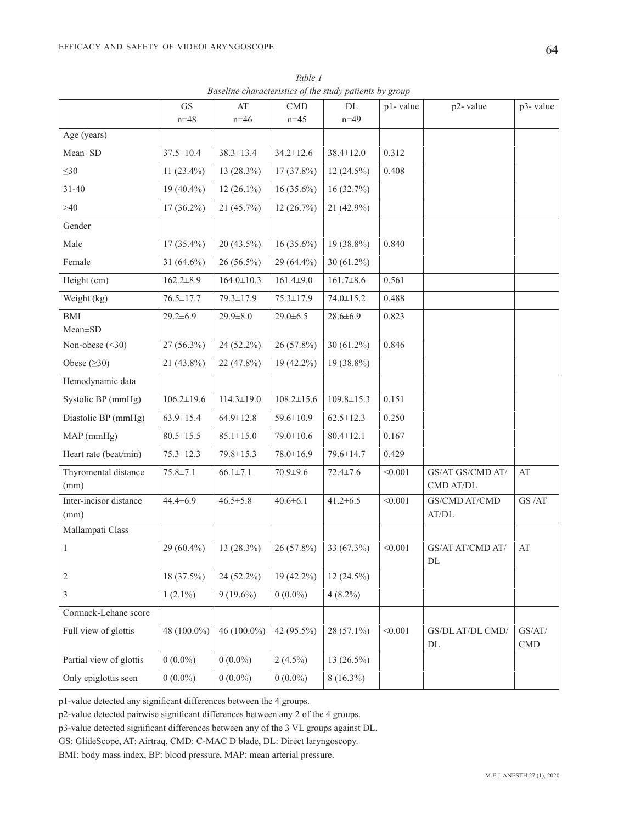|                              | $\operatorname{GS}$ | AT               | CMD              | $\rm DL$         | p1-value | p2-value                                | p3-value             |
|------------------------------|---------------------|------------------|------------------|------------------|----------|-----------------------------------------|----------------------|
|                              | $n = 48$            | $n=46$           | $n = 45$         | $n=49$           |          |                                         |                      |
| Age (years)                  |                     |                  |                  |                  |          |                                         |                      |
| Mean±SD                      | $37.5 \pm 10.4$     | $38.3 \pm 13.4$  | $34.2 \pm 12.6$  | $38.4 \pm 12.0$  | 0.312    |                                         |                      |
| $\leq 30$                    | $11(23.4\%)$        | $13(28.3\%)$     | 17 (37.8%)       | $12(24.5\%)$     | 0.408    |                                         |                      |
| $31 - 40$                    | $19(40.4\%)$        | $12(26.1\%)$     | $16(35.6\%)$     | 16(32.7%)        |          |                                         |                      |
| $>40$                        | $17(36.2\%)$        | 21(45.7%)        | 12 (26.7%)       | 21 (42.9%)       |          |                                         |                      |
| Gender                       |                     |                  |                  |                  |          |                                         |                      |
| Male                         | $17(35.4\%)$        | $20(43.5\%)$     | $16(35.6\%)$     | 19 (38.8%)       | 0.840    |                                         |                      |
| Female                       | 31 $(64.6\%)$       | $26(56.5\%)$     | 29 (64.4%)       | $30(61.2\%)$     |          |                                         |                      |
| Height (cm)                  | $162.2 \pm 8.9$     | $164.0 \pm 10.3$ | $161.4 \pm 9.0$  | $161.7 \pm 8.6$  | 0.561    |                                         |                      |
| Weight (kg)                  | $76.5 \pm 17.7$     | 79.3±17.9        | $75.3 \pm 17.9$  | $74.0 \pm 15.2$  | 0.488    |                                         |                      |
| $\operatorname{BMI}$         | $29.2 \pm 6.9$      | $29.9 \pm 8.0$   | $29.0 \pm 6.5$   | $28.6 \pm 6.9$   | 0.823    |                                         |                      |
| Mean±SD                      |                     |                  |                  |                  |          |                                         |                      |
| Non-obese $(\leq 30)$        | $27(56.3\%)$        | 24 (52.2%)       | 26 (57.8%)       | 30 (61.2%)       | 0.846    |                                         |                      |
| Obese $(\geq 30)$            | $21(43.8\%)$        | $22(47.8\%)$     | 19 (42.2%)       | 19 (38.8%)       |          |                                         |                      |
| Hemodynamic data             |                     |                  |                  |                  |          |                                         |                      |
| Systolic BP (mmHg)           | $106.2 \pm 19.6$    | $114.3 \pm 19.0$ | $108.2 \pm 15.6$ | $109.8 \pm 15.3$ | 0.151    |                                         |                      |
| Diastolic BP (mmHg)          | $63.9 \pm 15.4$     | $64.9 \pm 12.8$  | $59.6 \pm 10.9$  | $62.5 \pm 12.3$  | 0.250    |                                         |                      |
| MAP (mmHg)                   | $80.5 \pm 15.5$     | $85.1 \pm 15.0$  | 79.0±10.6        | $80.4 \pm 12.1$  | 0.167    |                                         |                      |
| Heart rate (beat/min)        | $75.3 \pm 12.3$     | 79.8 ± 15.3      | $78.0 \pm 16.9$  | 79.6±14.7        | 0.429    |                                         |                      |
| Thyromental distance<br>(mm) | $75.8 \pm 7.1$      | $66.1 \pm 7.1$   | 70.9±9.6         | $72.4 \pm 7.6$   | < 0.001  | GS/AT GS/CMD AT/<br>CMD AT/DL           | AT                   |
| Inter-incisor distance       | $44.4 \pm 6.9$      | $46.5 \pm 5.8$   | $40.6 \pm 6.1$   | $41.2 \pm 6.5$   | < 0.001  | GS/CMD AT/CMD                           | GS/AT                |
| (mm)                         |                     |                  |                  |                  |          | $\operatorname{AT}/\!\operatorname{DL}$ |                      |
| Mallampati Class             |                     |                  |                  |                  |          |                                         |                      |
| 1                            | $29(60.4\%)$        | $13(28.3\%)$     | 26 (57.8%)       | 33 (67.3%)       | < 0.001  | GS/AT AT/CMD AT/<br>DL                  | AT                   |
| 2                            | 18 (37.5%)          | 24 (52.2%)       | 19 (42.2%)       | $12(24.5\%)$     |          |                                         |                      |
| 3                            | $1(2.1\%)$          | $9(19.6\%)$      | $0(0.0\%)$       | $4(8.2\%)$       |          |                                         |                      |
| Cormack-Lehane score         |                     |                  |                  |                  |          |                                         |                      |
| Full view of glottis         | 48 (100.0%)         | 46 (100.0%)      | 42 (95.5%)       | 28 (57.1%)       | < 0.001  | GS/DL AT/DL CMD/<br>DL                  | GS/AT/<br><b>CMD</b> |
| Partial view of glottis      | $0(0.0\%)$          | $0(0.0\%)$       | $2(4.5\%)$       | 13 (26.5%)       |          |                                         |                      |
| Only epiglottis seen         | $0(0.0\%)$          | $0(0.0\%)$       | $0(0.0\%)$       | $8(16.3\%)$      |          |                                         |                      |

*1 Table Baseline characteristics of the study patients by group* 

p1-value detected any significant differences between the 4 groups.

p2-value detected pairwise significant differences between any 2 of the 4 groups.

p3-value detected significant differences between any of the 3 VL groups against DL.

GS: GlideScope, AT: Airtraq, CMD: C-MAC D blade, DL: Direct laryngoscopy.

BMI: body mass index, BP: blood pressure, MAP: mean arterial pressure.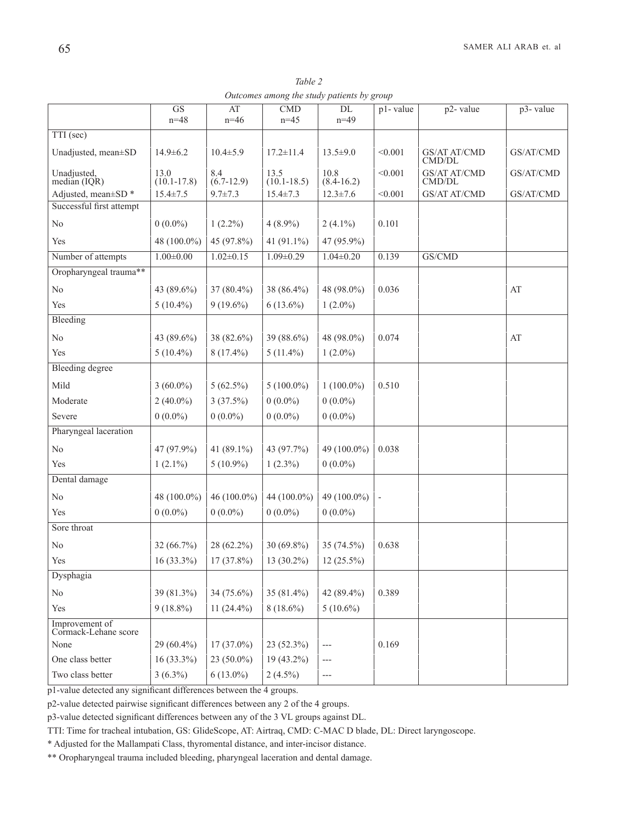| Table 2                                    |  |
|--------------------------------------------|--|
| Outcomes among the study patients by group |  |

|                                        | $\overline{\text{GS}}$  | AT                  | CMD                     | DL                     | p1-value                 | p2-value                      | p3-value  |
|----------------------------------------|-------------------------|---------------------|-------------------------|------------------------|--------------------------|-------------------------------|-----------|
|                                        | $n = 48$                | $n=46$              | $n=45$                  | $n=49$                 |                          |                               |           |
| $TTI$ (sec)                            |                         |                     |                         |                        |                          |                               |           |
| Unadjusted, mean±SD                    | $14.9 \pm 6.2$          | $10.4 \pm 5.9$      | $17.2 \pm 11.4$         | $13.5 \pm 9.0$         | < 0.001                  | <b>GS/AT AT/CMD</b><br>CMD/DL | GS/AT/CMD |
| Unadjusted,<br>median $(IQR)$          | 13.0<br>$(10.1 - 17.8)$ | 8.4<br>$(6.7-12.9)$ | 13.5<br>$(10.1 - 18.5)$ | 10.8<br>$(8.4 - 16.2)$ | < 0.001                  | <b>GS/AT AT/CMD</b><br>CMD/DL | GS/AT/CMD |
| Adjusted, mean±SD *                    | $15.4 \pm 7.5$          | $9.7 \pm 7.3$       | $15.4 \pm 7.3$          | $12.3 \pm 7.6$         | < 0.001                  | GS/AT AT/CMD                  | GS/AT/CMD |
| Successful first attempt               |                         |                     |                         |                        |                          |                               |           |
| N <sub>0</sub>                         | $0(0.0\%)$              | $1(2.2\%)$          | $4(8.9\%)$              | $2(4.1\%)$             | 0.101                    |                               |           |
| Yes                                    | 48 (100.0%)             | 45 (97.8%)          | 41 $(91.1\%)$           | 47 (95.9%)             |                          |                               |           |
| Number of attempts                     | $1.00 \pm 0.00$         | $1.02 \pm 0.15$     | $1.09 \pm 0.29$         | $1.04 \pm 0.20$        | 0.139                    | GS/CMD                        |           |
| Oropharyngeal trauma**                 |                         |                     |                         |                        |                          |                               |           |
| No                                     | 43 (89.6%)              | 37 (80.4%)          | 38 (86.4%)              | 48 (98.0%)             | 0.036                    |                               | AT        |
| Yes                                    | $5(10.4\%)$             | $9(19.6\%)$         | $6(13.6\%)$             | $1(2.0\%)$             |                          |                               |           |
| Bleeding                               |                         |                     |                         |                        |                          |                               |           |
| No                                     | 43 (89.6%)              | 38 (82.6%)          | 39 (88.6%)              | 48 (98.0%)             | 0.074                    |                               | AT        |
| Yes                                    | $5(10.4\%)$             | $8(17.4\%)$         | $5(11.4\%)$             | $1(2.0\%)$             |                          |                               |           |
| <b>Bleeding degree</b>                 |                         |                     |                         |                        |                          |                               |           |
| Mild                                   | $3(60.0\%)$             | $5(62.5\%)$         | $5(100.0\%)$            | $1(100.0\%)$           | 0.510                    |                               |           |
| Moderate                               | $2(40.0\%)$             | 3(37.5%)            | $0(0.0\%)$              | $0(0.0\%)$             |                          |                               |           |
| Severe                                 | $0(0.0\%)$              | $0(0.0\%)$          | $0(0.0\%)$              | $0(0.0\%)$             |                          |                               |           |
| Pharyngeal laceration                  |                         |                     |                         |                        |                          |                               |           |
| No                                     | 47 (97.9%)              | 41 (89.1%)          | 43 (97.7%)              | 49 (100.0%)            | 0.038                    |                               |           |
| Yes                                    | $1(2.1\%)$              | $5(10.9\%)$         | $1(2.3\%)$              | $0(0.0\%)$             |                          |                               |           |
| Dental damage                          |                         |                     |                         |                        |                          |                               |           |
| No                                     | 48 (100.0%)             | 46 (100.0%)         | 44 (100.0%)             | 49 (100.0%)            | $\overline{\phantom{a}}$ |                               |           |
| Yes                                    | $0(0.0\%)$              | $0(0.0\%)$          | $0(0.0\%)$              | $0(0.0\%)$             |                          |                               |           |
| Sore throat                            |                         |                     |                         |                        |                          |                               |           |
| No                                     | $32(66.7\%)$            | 28 (62.2%)          | $30(69.8\%)$            | 35 (74.5%)             | 0.638                    |                               |           |
| Yes                                    | $16(33.3\%)$            | 17 (37.8%)          | 13 (30.2%)              | $12(25.5\%)$           |                          |                               |           |
| Dysphagia                              |                         |                     |                         |                        |                          |                               |           |
| No                                     | 39 (81.3%)              | 34 (75.6%)          | 35 (81.4%)              | 42 (89.4%)             | 0.389                    |                               |           |
| Yes                                    | $9(18.8\%)$             | 11 $(24.4\%)$       | $8(18.6\%)$             | $5(10.6\%)$            |                          |                               |           |
| Improvement of<br>Cormack-Lehane score |                         |                     |                         |                        |                          |                               |           |
| None                                   | $29(60.4\%)$            | $17(37.0\%)$        | $23(52.3\%)$            | ---                    | 0.169                    |                               |           |
| One class better                       | $16(33.3\%)$            | $23(50.0\%)$        | $19(43.2\%)$            | ---                    |                          |                               |           |
| Two class better                       | $3(6.3\%)$              | $6(13.0\%)$         | $2(4.5\%)$              | ---                    |                          |                               |           |

p1-value detected any significant differences between the 4 groups.

p2-value detected pairwise significant differences between any 2 of the 4 groups.

p3-value detected significant differences between any of the 3 VL groups against DL.

TTI: Time for tracheal intubation, GS: GlideScope, AT: Airtraq, CMD: C-MAC D blade, DL: Direct laryngoscope.

\* Adjusted for the Mallampati Class, thyromental distance, and inter-incisor distance.

\*\* Oropharyngeal trauma included bleeding, pharyngeal laceration and dental damage.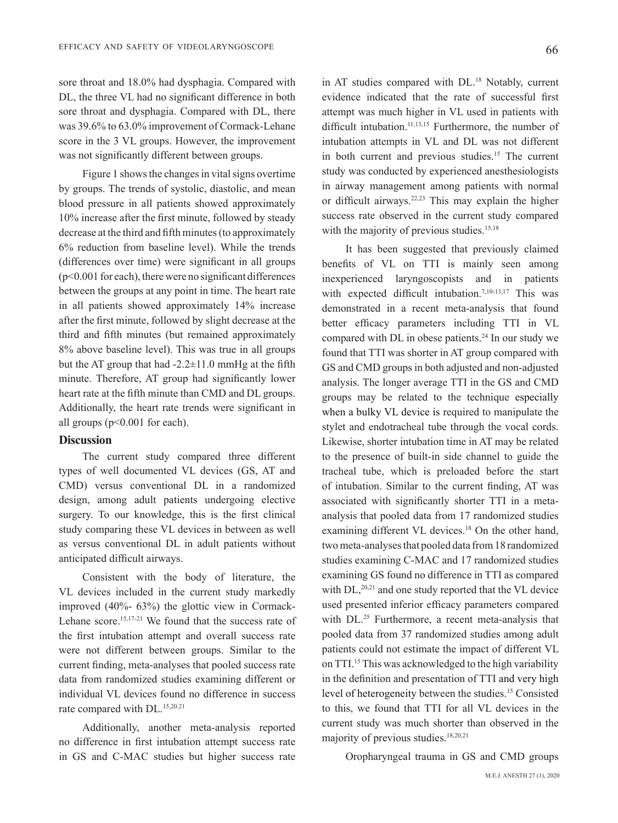sore throat and 18.0% had dysphagia. Compared with DL, the three VL had no significant difference in both sore throat and dysphagia. Compared with DL, there was  $39.6\%$  to  $63.0\%$  improvement of Cormack-Lehane score in the 3 VL groups. However, the improvement was not significantly different between groups.

Figure 1 shows the changes in vital signs overtime by groups. The trends of systolic, diastolic, and mean blood pressure in all patients showed approximately 10% increase after the first minute, followed by steady decrease at the third and fifth minutes (to approximately  $6\%$  reduction from baseline level). While the trends  $(differences over time) were significant in all groups$  $(p<0.001$  for each), there were no significant differences between the groups at any point in time. The heart rate in all patients showed approximately  $14\%$  increase after the first minute, followed by slight decrease at the third and fifth minutes (but remained approximately 8% above baseline level). This was true in all groups but the AT group that had  $-2.2\pm11.0$  mmHg at the fifth minute. Therefore, AT group had significantly lower heart rate at the fifth minute than CMD and DL groups. Additionally, the heart rate trends were significant in all groups  $(p<0.001$  for each).

#### **Discussion**

The current study compared three different types of well documented VL devices (GS, AT and CMD) versus conventional DL in a randomized design, among adult patients undergoing elective surgery. To our knowledge, this is the first clinical study comparing these VL devices in between as well as versus conventional DL in adult patients without anticipated difficult airways.

Consistent with the body of literature, the VL devices included in the current study markedly Lehane score.<sup>15,17-21</sup> We found that the success rate of improved  $(40\% - 63\%)$  the glottic view in Cormackthe first intubation attempt and overall success rate were not different between groups. Similar to the current finding, meta-analyses that pooled success rate data from randomized studies examining different or individual VL devices found no difference in success rate compared with DL.<sup>15,20.21</sup>

Additionally, another meta-analysis reported no difference in first intubation attempt success rate in GS and C-MAC studies but higher success rate

in AT studies compared with DL.<sup>18</sup> Notably, current evidence indicated that the rate of successful first attempt was much higher in VL used in patients with difficult intubation.<sup>11,13,15</sup> Furthermore, the number of intubation attempts in VL and DL was not different in both current and previous studies.<sup>15</sup> The current study was conducted by experienced anesthesiologists in airway management among patients with normal or difficult airways.<sup>22,23</sup> This may explain the higher success rate observed in the current study compared with the majority of previous studies.<sup>15,18</sup>

It has been suggested that previously claimed benefits of VL on TTI is mainly seen among in experienced laryngoscopists and in patients with expected difficult intubation.<sup>7,10-13,17</sup> This was demonstrated in a recent meta-analysis that found better efficacy parameters including TTI in VL compared with DL in obese patients.<sup>24</sup> In our study we found that TTI was shorter in AT group compared with GS and CMD groups in both adjusted and non-adjusted analysis. The longer average TTI in the GS and CMD groups may be related to the technique especially when a bulky VL device is required to manipulate the stylet and endotracheal tube through the vocal cords. Likewise, shorter intubation time in AT may be related to the presence of built-in side channel to guide the tracheal tube, which is preloaded before the start of intubation. Similar to the current finding, AT was analysis that pooled data from 17 randomized studies associated with significantly shorter TTI in a metaexamining different VL devices.<sup>18</sup> On the other hand, two meta-analyses that pooled data from 18 randomized studies examining C-MAC and 17 randomized studies examining GS found no difference in TTI as compared with  $DL$ ,<sup>20,21</sup> and one study reported that the VL device used presented inferior efficacy parameters compared with DL.<sup>25</sup> Furthermore, a recent meta-analysis that pooled data from 37 randomized studies among adult patients could not estimate the impact of different VL on TTI.<sup>15</sup> This was acknowledged to the high variability in the definition and presentation of TTI and very high level of heterogeneity between the studies.<sup>15</sup> Consisted to this, we found that TTI for all VL devices in the current study was much shorter than observed in the majority of previous studies.<sup>18,20,21</sup>

Oropharyngeal trauma in GS and CMD groups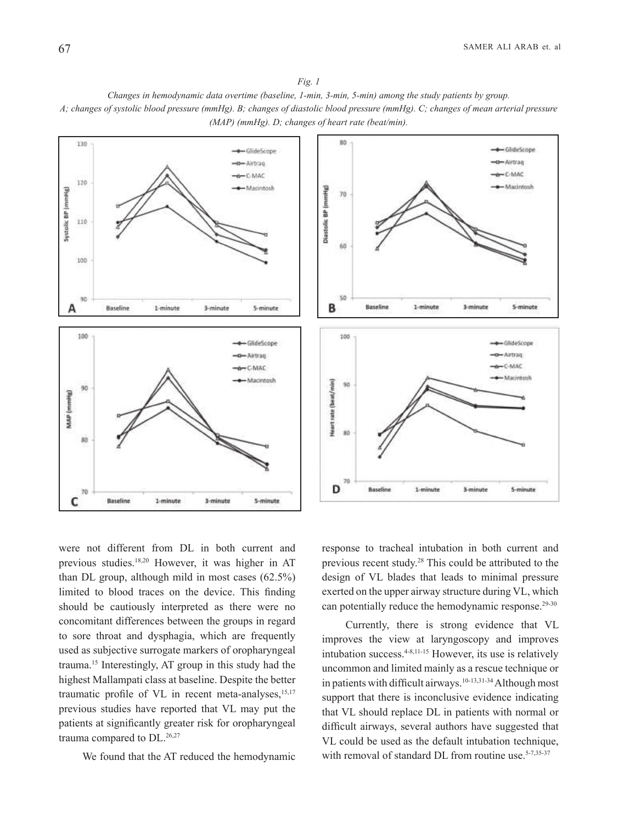*Fig.* 1 *Changes in hemodynamic data overtime (baseline, 1-min, 3-min, 5-min) among the study patients by group. A*; changes of systolic blood pressure (mmHg). B; changes of diastolic blood pressure (mmHg). C; changes of mean arterial pressure *(MAP) (mmHg). D; changes of heart rate (beat/min).* 



were not different from DL in both current and previous studies.<sup>18,20</sup> However, it was higher in AT than DL group, although mild in most cases  $(62.5\%)$ limited to blood traces on the device. This finding should be cautiously interpreted as there were no concomitant differences between the groups in regard to sore throat and dysphagia, which are frequently used as subjective surrogate markers of oropharyngeal trauma.<sup>15</sup> Interestingly, AT group in this study had the highest Mallampati class at baseline. Despite the better traumatic profile of VL in recent meta-analyses, $15,17$ previous studies have reported that VL may put the patients at significantly greater risk for oropharyngeal trauma compared to  $DL.^{26,27}$ 

We found that the AT reduced the hemodynamic

response to tracheal intubation in both current and previous recent study.<sup>28</sup> This could be attributed to the design of VL blades that leads to minimal pressure exerted on the upper airway structure during VL, which can potentially reduce the hemodynamic response.<sup>29-30</sup>

Currently, there is strong evidence that VL improves the view at laryngoscopy and improves intubation success. $4-8,11-15$  However, its use is relatively uncommon and limited mainly as a rescue technique or in patients with difficult airways.<sup>10-13,31-34</sup> Although most support that there is inconclusive evidence indicating that VL should replace DL in patients with normal or difficult airways, several authors have suggested that VL could be used as the default intubation technique, with removal of standard DL from routine use. $5-7,35-37$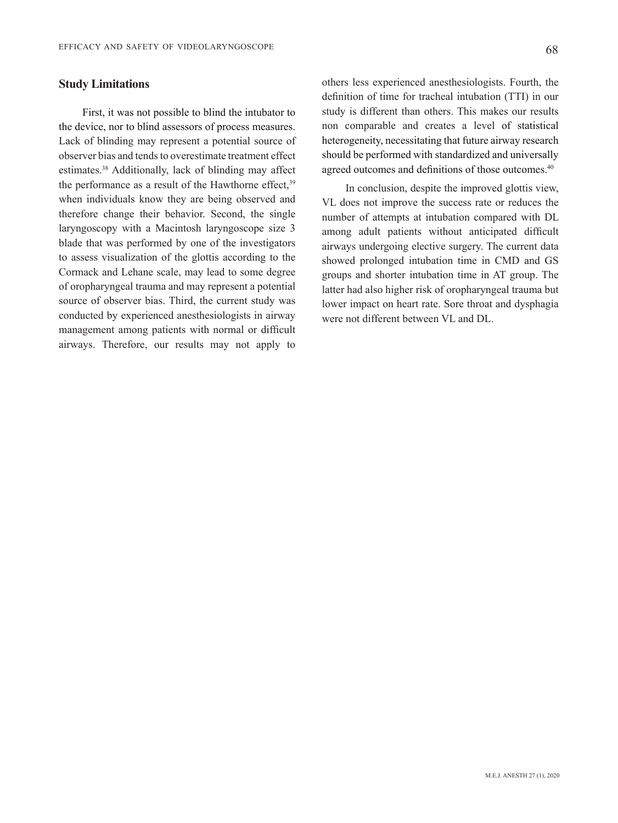#### 68

#### **Study Limitations**

First, it was not possible to blind the intubator to the device, nor to blind assessors of process measures. Lack of blinding may represent a potential source of observer bias and tends to overestimate treatment effect estimates.<sup>38</sup> Additionally, lack of blinding may affect the performance as a result of the Hawthorne effect. $39$ when individuals know they are being observed and therefore change their behavior. Second, the single  $laryngoscopy$  with a Macintosh laryngoscope size  $3$ blade that was performed by one of the investigators to assess visualization of the glottis according to the Cormack and Lehane scale, may lead to some degree of oropharyngeal trauma and may represent a potential source of observer bias. Third, the current study was conducted by experienced anesthesiologists in airway management among patients with normal or difficult airways. Therefore, our results may not apply to

others less experienced anesthesiologists. Fourth, the definition of time for tracheal intubation (TTI) in our study is different than others. This makes our results non comparable and creates a level of statistical heterogeneity, necessitating that future airway research should be performed with standardized and universally agreed outcomes and definitions of those outcomes.<sup>40</sup>

In conclusion, despite the improved glottis view, VL does not improve the success rate or reduces the number of attempts at intubation compared with DL among adult patients without anticipated difficult airways undergoing elective surgery. The current data showed prolonged intubation time in CMD and GS groups and shorter intubation time in AT group. The latter had also higher risk of oropharyngeal trauma but lower impact on heart rate. Sore throat and dysphagia were not different between VL and DL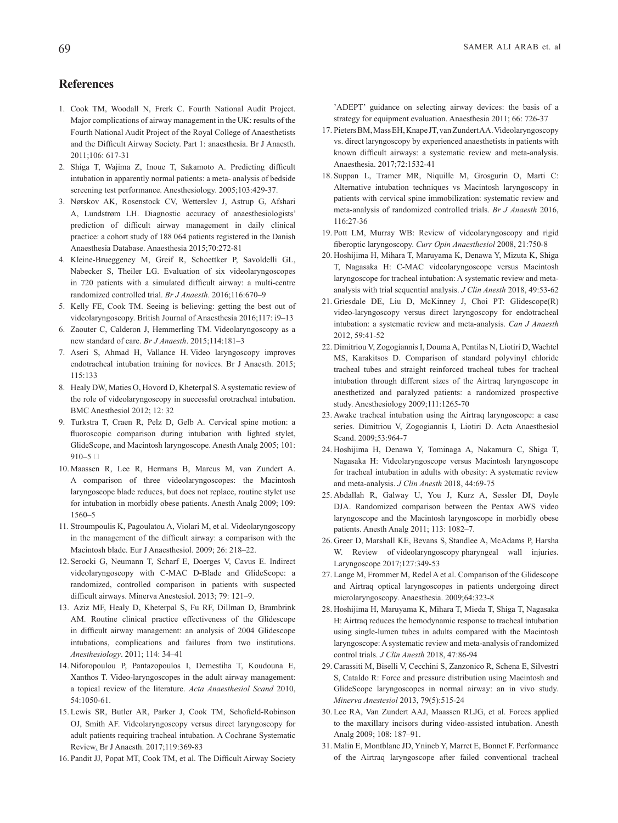#### **References**

- 1. Cook TM, Woodall N, Frerk C. Fourth National Audit Project. Major complications of airway management in the UK: results of the Fourth National Audit Project of the Royal College of Anaesthetists and the Difficult Airway Society. Part 1: anaesthesia. Br J Anaesth. 2011;106: 617-31
- 2. Shiga T, Wajima Z, Inoue T, Sakamoto A. Predicting difficult intubation in apparently normal patients: a meta- analysis of bedside screening test performance. Anesthesiology. 2005;103:429-37.
- 3. Nørskov AK, Rosenstock CV, Wetterslev J, Astrup G, Afshari A, Lundstrøm LH. Diagnostic accuracy of anaesthesiologists' prediction of difficult airway management in daily clinical practice: a cohort study of 188 064 patients registered in the Danish Anaesthesia Database. Anaesthesia 2015;70:272-81
- 4. Kleine-Brueggeney M, Greif R, Schoettker P, Savoldelli GL, Nabecker S, Theiler LG. Evaluation of six videolaryngoscopes in 720 patients with a simulated difficult airway: a multi-centre randomized controlled trial. Br J Anaesth. 2016;116:670-9
- 5. Kelly FE, Cook TM. Seeing is believing: getting the best out of videolaryngoscopy. British Journal of Anaesthesia 2016;117: i9-13
- 6. Zaouter C, Calderon J, Hemmerling TM. Videolaryngoscopy as a new standard of care. *Br J Anaesth*. 2015;114:181-3
- 7. Aseri S, Ahmad H, Vallance H. Video laryngoscopy improves endotracheal intubation training for novices. Br J Anaesth. 2015; 115:133
- 8. Healy DW, Maties O, Hovord D, Kheterpal S. A systematic review of the role of videolaryngoscopy in successful orotracheal intubation. BMC Anesthesiol 2012; 12: 32
- 9. Turkstra T, Craen R, Pelz D, Gelb A. Cervical spine motion: a fluoroscopic comparison during intubation with lighted stylet, GlideScope, and Macintosh laryngoscope. Anesth Analg 2005; 101:  $910-5$
- 10. Maassen R, Lee R, Hermans B, Marcus M, van Zundert A. A comparison of three videolaryngoscopes: the Macintosh laryngoscope blade reduces, but does not replace, routine stylet use for intubation in morbidly obese patients. Anesth Analg 2009; 109:  $1560 - 5$
- 11. Stroumpoulis K, Pagoulatou A, Violari M, et al. Videolaryngoscopy in the management of the difficult airway: a comparison with the Macintosh blade. Eur J Anaesthesiol. 2009; 26: 218-22.
- 12. Serocki G, Neumann T, Scharf E, Doerges V, Cavus E. Indirect videolaryngoscopy with C-MAC D-Blade and GlideScope: a randomized, controlled comparison in patients with suspected difficult airways. Minerva Anestesiol. 2013; 79: 121-9.
- 13. Aziz MF, Healy D, Kheterpal S, Fu RF, Dillman D, Brambrink AM. Routine clinical practice effectiveness of the Glidescope in difficult airway management: an analysis of 2004 Glidescope intubations, complications and failures from two institutions. 41–34 114: ;2011 .*Anesthesiology*
- 14. Niforopoulou P, Pantazopoulos I, Demestiha T, Koudouna E, Xanthos T. Video-laryngoscopes in the adult airway management: a topical review of the literature. Acta Anaesthesiol Scand 2010, 54:1050-61.
- 15. Lewis SR, Butler AR, Parker J, Cook TM, Schofield-Robinson OJ, Smith AF. Videolaryngoscopy versus direct laryngoscopy for adult patients requiring tracheal intubation. A Cochrane Systematic Review. Br J Anaesth. 2017;119:369-83
- 16. Pandit JJ, Popat MT, Cook TM, et al. The Difficult Airway Society

'ADEPT' guidance on selecting airway devices: the basis of a strategy for equipment evaluation. Anaesthesia 2011; 66: 726-37

- 17. Pieters BM, Mass EH, Knape JT, van Zundert AA. Videolaryngoscopy vs. direct laryngoscopy by experienced anaesthetists in patients with known difficult airways: a systematic review and meta-analysis. Anaesthesia. 2017;72:1532-41
- 18. Suppan L, Tramer MR, Niquille M, Grosgurin O, Marti C: Alternative intubation techniques vs Macintosh laryngoscopy in patients with cervical spine immobilization: systematic review and meta-analysis of randomized controlled trials. Br J Anaesth 2016, 116:27-36
- 19. Pott LM, Murray WB: Review of videolaryngoscopy and rigid fiberoptic laryngoscopy. Curr Opin Anaesthesiol 2008, 21:750-8
- 20. Hoshijima H, Mihara T, Maruyama K, Denawa Y, Mizuta K, Shiga T, Nagasaka H: C-MAC videolaryngoscope versus Macintosh analysis with trial sequential analysis. *J Clin Anesth* 2018, 49:53-62 laryngoscope for tracheal intubation: A systematic review and meta-
- 21. Griesdale DE, Liu D, McKinney J, Choi PT: Glidescope(R) video-laryngoscopy versus direct laryngoscopy for endotracheal intubation: a systematic review and meta-analysis. Can J Anaesth 2012, 59:41-52
- 22. Dimitriou V, Zogogiannis I, Douma A, Pentilas N, Liotiri D, Wachtel MS, Karakitsos D. Comparison of standard polyvinyl chloride tracheal tubes and straight reinforced tracheal tubes for tracheal intubation through different sizes of the Airtraq laryngoscope in anesthetized and paralyzed patients: a randomized prospective study. Anesthesiology 2009;111:1265-70
- 23. Awake tracheal intubation using the Airtraq laryngoscope: a case series. Dimitriou V, Zogogiannis I, Liotiri D. Acta Anaesthesiol Scand. 2009;53:964-7
- 24. Hoshijima H, Denawa Y, Tominaga A, Nakamura C, Shiga T, Nagasaka H: Videolaryngoscope versus Macintosh laryngoscope for tracheal intubation in adults with obesity: A systematic review and meta-analysis. *J Clin Anesth* 2018, 44:69-75
- 25. Abdallah R, Galway U, You J, Kurz A, Sessler DI, Doyle DJA. Randomized comparison between the Pentax AWS video laryngoscope and the Macintosh laryngoscope in morbidly obese patients. Anesth Analg 2011; 113: 1082-7.
- 26. Greer D, Marshall KE, Bevans S, Standlee A, McAdams P, Harsha W. Review of videolaryngoscopy pharyngeal wall injuries. Laryngoscope 2017;127:349-53
- 27. Lange M, Frommer M, Redel A et al. Comparison of the Glidescope and Airtraq optical laryngoscopes in patients undergoing direct microlaryngoscopy. Anaesthesia. 2009;64:323-8
- 28. Hoshijima H, Maruyama K, Mihara T, Mieda T, Shiga T, Nagasaka H: Airtraq reduces the hemodynamic response to tracheal intubation using single-lumen tubes in adults compared with the Macintosh laryngoscope: A systematic review and meta-analysis of randomized control trials. *J Clin Anesth* 2018, 47:86-94
- 29. Carassiti M, Biselli V, Cecchini S, Zanzonico R, Schena E, Silvestri S, Cataldo R: Force and pressure distribution using Macintosh and GlideScope laryngoscopes in normal airway: an in vivo study. :515-24(5)79 2013, *Anestesiol Minerva*
- 30. Lee RA, Van Zundert AAJ, Maassen RLJG, et al. Forces applied to the maxillary incisors during video-assisted intubation. Anesth Analg 2009; 108: 187-91.
- 31. Malin E, Montblanc JD, Ynineb Y, Marret E, Bonnet F. Performance of the Airtraq laryngoscope after failed conventional tracheal